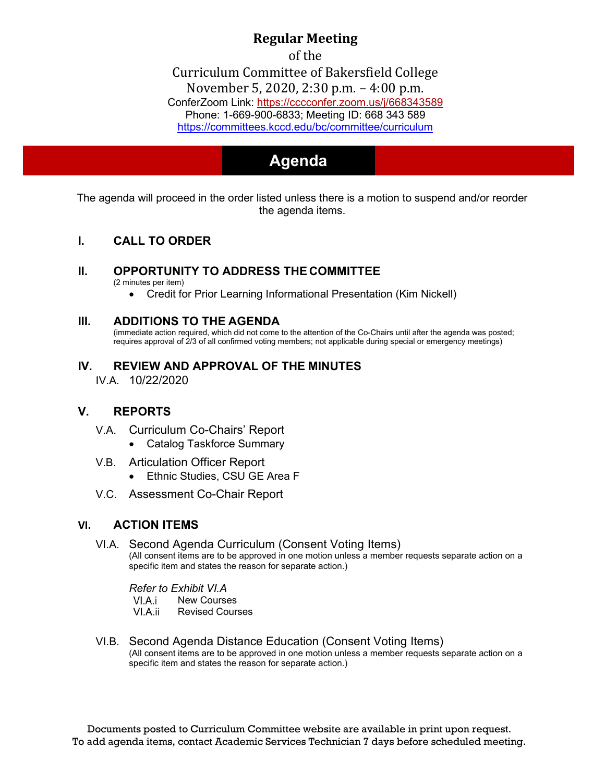## **Regular Meeting**

of the

Curriculum Committee of Bakersfield College [November 5, 2020,](https://cccconfer.zoom.us/j/668343589) 2:30 p.m. – 4:00 p.m. ConferZoom Link: https://cccconfer.zoom.us/j/668343589 [Phone: 1-669-900-6833; Meeting ID: 668 343 589](https://committees.kccd.edu/bc/committee/curriculum) <https://committees.kccd.edu/bc/committee/curriculum>

# **Agenda Agenda**

The agenda will proceed in the order listed unless there is a motion to suspend and/or reorder the agenda items.

#### **I. CALL TO ORDER**

#### **II. OPPORTUNITY TO ADDRESS THE COMMITTEE**

(2 minutes per item)

• Credit for Prior Learning Informational Presentation (Kim Nickell)

#### **III. ADDITIONS TO THE AGENDA**

(immediate action required, which did not come to the attention of the Co-Chairs until after the agenda was posted; requires approval of 2/3 of all confirmed voting members; not applicable during special or emergency meetings)

### **IV. REVIEW AND APPROVAL OF THE MINUTES**

IV.A. 10/22/2020

#### **V. REPORTS**

- V.A. Curriculum Co-Chairs' Report
	- Catalog Taskforce Summary
- V.B. Articulation Officer Report
	- Ethnic Studies, CSU GE Area F
- V.C. Assessment Co-Chair Report

#### **VI. ACTION ITEMS**

#### VI.A. Second Agenda Curriculum (Consent Voting Items) (All consent items are to be approved in one motion unless a member requests separate action on a specific item and states the reason for separate action.)

*Refer to Exhibit VI.A*

VI.A.i New Courses VI.A.ii

- Revised Courses
- VI.B. Second Agenda Distance Education (Consent Voting Items) (All consent items are to be approved in one motion unless a member requests separate action on a specific item and states the reason for separate action.)

Documents posted to Curriculum Committee website are available in print upon request. To add agenda items, contact Academic Services Technician 7 days before scheduled meeting.